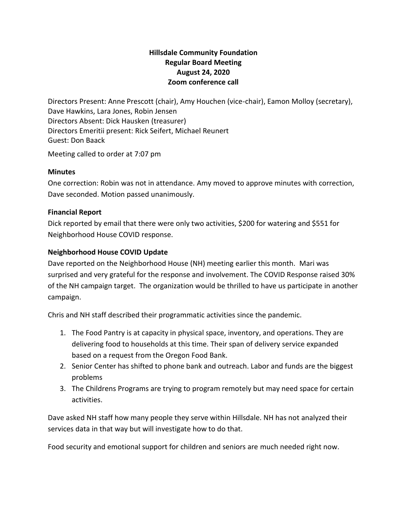# **Hillsdale Community Foundation Regular Board Meeting August 24, 2020 Zoom conference call**

Directors Present: Anne Prescott (chair), Amy Houchen (vice-chair), Eamon Molloy (secretary), Dave Hawkins, Lara Jones, Robin Jensen Directors Absent: Dick Hausken (treasurer) Directors Emeritii present: Rick Seifert, Michael Reunert Guest: Don Baack

Meeting called to order at 7:07 pm

#### **Minutes**

One correction: Robin was not in attendance. Amy moved to approve minutes with correction, Dave seconded. Motion passed unanimously.

#### **Financial Report**

Dick reported by email that there were only two activities, \$200 for watering and \$551 for Neighborhood House COVID response.

#### **Neighborhood House COVID Update**

Dave reported on the Neighborhood House (NH) meeting earlier this month. Mari was surprised and very grateful for the response and involvement. The COVID Response raised 30% of the NH campaign target. The organization would be thrilled to have us participate in another campaign.

Chris and NH staff described their programmatic activities since the pandemic.

- 1. The Food Pantry is at capacity in physical space, inventory, and operations. They are delivering food to households at this time. Their span of delivery service expanded based on a request from the Oregon Food Bank.
- 2. Senior Center has shifted to phone bank and outreach. Labor and funds are the biggest problems
- 3. The Childrens Programs are trying to program remotely but may need space for certain activities.

Dave asked NH staff how many people they serve within Hillsdale. NH has not analyzed their services data in that way but will investigate how to do that.

Food security and emotional support for children and seniors are much needed right now.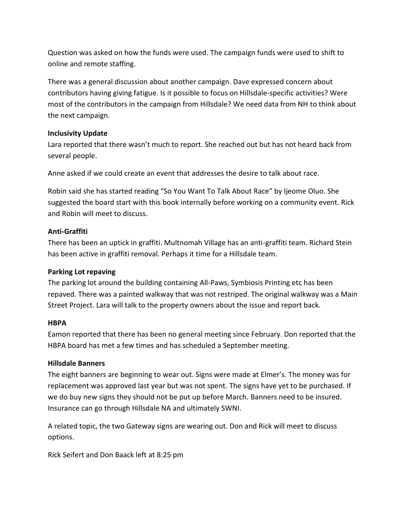Question was asked on how the funds were used. The campaign funds were used to shift to online and remote staffing.

There was a general discussion about another campaign. Dave expressed concern about contributors having giving fatigue. Is it possible to focus on Hillsdale-specific activities? Were most of the contributors in the campaign from Hillsdale? We need data from NH to think about the next campaign.

## **Inclusivity Update**

Lara reported that there wasn't much to report. She reached out but has not heard back from several people.

Anne asked if we could create an event that addresses the desire to talk about race.

Robin said she has started reading "So You Want To Talk About Race" by Ijeome Oluo. She suggested the board start with this book internally before working on a community event. Rick and Robin will meet to discuss.

#### **Anti-Graffiti**

There has been an uptick in graffiti. Multnomah Village has an anti-graffiti team. Richard Stein has been active in graffiti removal. Perhaps it time for a Hillsdale team.

## **Parking Lot repaving**

The parking lot around the building containing All-Paws, Symbiosis Printing etc has been repaved. There was a painted walkway that was not restriped. The original walkway was a Main Street Project. Lara will talk to the property owners about the issue and report back.

#### **HBPA**

Eamon reported that there has been no general meeting since February. Don reported that the HBPA board has met a few times and has scheduled a September meeting.

## **Hillsdale Banners**

The eight banners are beginning to wear out. Signs were made at Elmer's. The money was for replacement was approved last year but was not spent. The signs have yet to be purchased. If we do buy new signs they should not be put up before March. Banners need to be insured. Insurance can go through Hillsdale NA and ultimately SWNI.

A related topic, the two Gateway signs are wearing out. Don and Rick will meet to discuss options.

Rick Seifert and Don Baack left at 8:25 pm